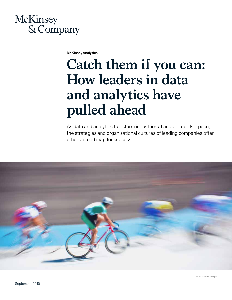

McKinsey Analytics

# **Catch them if you can: How leaders in data and analytics have pulled ahead**

As data and analytics transform industries at an ever-quicker pace, the strategies and organizational cultures of leading companies offer others a road map for success.



© wsfurlan/Getty Images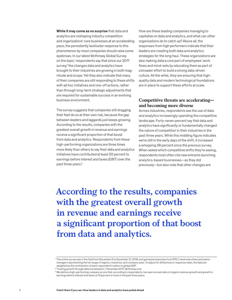While it may come as no surprise that data and analytics are reshaping industry competition and organizations' core businesses at an accelerating pace, the persistently lackluster response to this phenomenon by most companies should raise some eyebrows. In our latest McKinsey Global Survey on the topic,<sup>1</sup> respondents say that since our 2017 survey, $2$  the changes data and analytics have brought to their industries are growing in both magnitude and scope. Yet they also indicate that many of their companies are still responding to these shifts with ad hoc initiatives and one-off actions, rather than through long-term strategic adjustments that are required for sustainable success in an evolving business environment.

The survey suggests that companies still dragging their feet do so at their own risk, because the gap between leaders and laggards just keeps growing. According to the results, companies with the greatest overall growth in revenue and earnings receive a significant proportion of that boost from data and analytics. Respondents from these high-performing organizations are three times more likely than others to say their data and analytics initiatives have contributed at least 20 percent to earnings before interest and taxes (EBIT) over the past three years.<sup>3</sup>

How are these leading companies managing to capitalize on data and analytics, and what can other organizations do to catch up? Above all, the responses from high performers indicate that their leaders are creating both data and analytics strategies for the long haul. These organizations are also making data a core part of employees' work flows and mind-sets by educating them as part of a broader effort to build a strong data-driven culture. All the while, they are ensuring that highquality data and modern technological foundations are in place to support these efforts at scale.

## **Competitive threats are accelerating and becoming more diverse**

Across industries, respondents see the use of data and analytics increasingly upending the competitive landscape. Forty-seven percent say that data and analytics have significantly or fundamentally changed the nature of competition in their industries in the past three years. While this middling figure indicates we're still in the early days of the shift, it increased a whopping 38 percent since the previous survey. When asked which competitive shifts they're seeing, respondents most often cite new entrants launching analytics-based businesses—as they did previously—but also note that other changes are

**According to the results, companies with the greatest overall growth in revenue and earnings receive a significant proportion of that boost from data and analytics.**

<sup>1</sup> The online survey was in the field from December 6 to December 21, 2018, and garnered responses from 575 C-level executives and senior managers representing the full range of regions, industries, and company sizes. To adjust for differences in response rates, the data are weighted by the contribution of each respondent's nation to global GDP.

<sup>2</sup> "Fueling growth through data monetization," December 2017, McKinsey.com.

 $^{\rm 3}$  We define a high-performing company as one that, according to respondents, has seen annual rates of organic revenue growth and growth in earnings before interest and taxes of 10 percent or more in the past three years.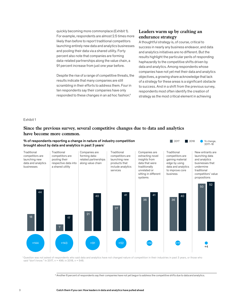quickly becoming more commonplace (Exhibit 1). For example, respondents are almost 2.5 times more likely than before to report traditional competitors launching entirely new data and analytics businesses and pooling their data via a shared utility. Forty percent also note that companies are forming data-related partnerships along the value chain, a 91 percent increase from just one year before.

Despite the rise of a range of competitive threats, the results indicate that many companies are still scrambling in their efforts to address them. Four in ten respondents say their companies have only responded to these changes in an ad hoc fashion.<sup>4</sup>

## **Leaders warm up by crafting an endurance strategy**

A thoughtful strategy is, of course, critical to success in nearly any business endeavor, and data and analytics initiatives are no different. But the results highlight the particular perils of responding haphazardly to the competitive shifts driven by data and analytics. Among respondents whose companies have not yet met their data and analytics objectives, a growing share acknowledge that lack of a strategy for these areas is a significant obstacle to success. And in a shift from the previous survey, respondents most often identify the creation of strategy as the most critical element in achieving

#### Exhibit 1

## **Since the previous survey, several competitive changes due to data and analytics have become more common.**



<sup>1</sup> Question was not asked of respondents who said data and analytics have not changed nature of competition in their industries in past 3 years, or those who said "don't know." In 2017, n = 496; in 2018, n = 548.

4 Another 6 percent of respondents say their companies have not yet begun to address the competitive shifts due to data and analytics.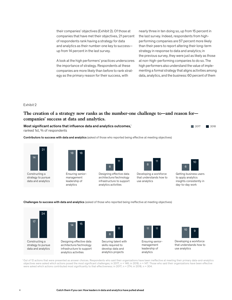their companies' objectives (Exhibit 2). Of those at companies that have met their objectives, 21 percent of respondents rank having a strategy for data and analytics as their number-one key to success up from 14 percent in the last survey.

A look at the high performers' practices underscores the importance of strategy. Respondents at these companies are more likely than before to rank strategy as the primary reason for their success, with

nearly three in ten doing so, up from 15 percent in the last survey. Indeed, respondents from highperforming companies are 57 percent more likely than their peers to report altering their long-term strategy in response to data and analytics; in the previous survey, they were just as likely as those at non-high-performing companies to do so. The high performers also understand the value of implementing a formal strategy that aligns activities among data, analytics, and the business: 60 percent of them

Exhibit 2

## **The creation of a strategy now ranks as the number-one challenge to—and reason for companies' success at data and analytics.**

Most significant actions that influence data and analytics outcomes, 1 ranked 1st, % of respondents

Contributors to success with data and analytics (asked of those who reported being effective at meeting objectives)





Ensuring seniormanagement leadership of analytics



Designing effective data architecture/technology infrastructure to support analytics activities



Developing a workforce that understands how to use analytics



2017 2018

Getting business users to apply analytics insights consistently in day-to-day work

Challenges to success with data and analytics (asked of those who reported being ineffective at meeting objectives)





Designing effective data architecture/technology infrastructure to support analytics activities



Securing talent with skills required to develop data and analytics projects



Ensuring seniormanagement leadership of analytics



Developing a workforce that understands how to use analytics

<sup>1</sup>Out of 12 actions that were presented as answer choices. Respondents who said their organizations have been ineffective at meeting their primary data-and-analytics objectives were asked which actions posed the most significant challenges; in 2017, n = 146; in 2018, n = 147. Those who said their organizations have been effective were asked which actions contributed most significantly to that effectiveness; in 2017,  $n = 274$ ; in 2018,  $n = 304$ .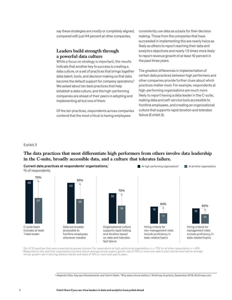say these strategies are mostly or completely aligned, compared with just 44 percent at other companies.

## **Leaders build strength through a powerful data culture**

While a focus on strategy is important, the results indicate that another key to success is creating a data culture, or a set of practices that brings together data talent, tools, and decision making so that data become the default support for company operations.<sup>5</sup> We asked about ten best practices that help establish a data culture, and the high-performing companies are ahead of their peers in adopting and implementing all but one of them.

Of the ten practices, respondents across companies contend that the most critical is having employees

consistently use data as a basis for their decision making. Those from the companies that have succeeded in implementing this are nearly twice as likely as others to report reaching their data and analytics objectives and nearly 1.5 times more likely to report revenue growth of at least 10 percent in the past three years.

The greatest differences in implementation of certain data practices between high performers and other companies provide further clues about which practices matter most. For example, respondents at high-performing organizations are much more likely to report having a data leader in the C-suite, making data and self-service tools accessible to frontline employees, and creating an organizational culture that supports rapid iteration and tolerates failure (Exhibit 3).

At high-performing organizations<sup>2</sup>  $\blacksquare$  At all other organizations

#### Exhibit 3

## The data practices that most differentiate high performers from others involve data leadership **in the C-suite, broadly accessible data, and a culture that tolerates failure.**

Current data practices at respondents' organizations, 1 % of respondents



<sup>1</sup>Out of 10 practices that were presented as answer choices. For respondents at high-performing organizations, n = 170; for all other respondents, n = 405.<br><sup>2</sup> Respondents who said their organizations (a) have had an aver annual growth rate in earnings before interest and taxes of 10% or more over past 3 years.

5 Alejandro Díaz, Kayvaun Rowshankish, and Tamim Saleh, "Why data culture matters," *McKinsey Quarterly*, September 2018, McKinsey.com.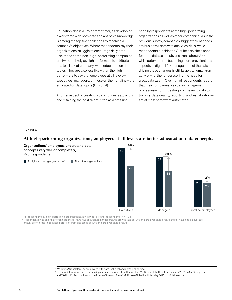Education also is a key differentiator, as developing a workforce with both data and analytics knowledge is among the top five challenges to reaching a company's objectives. Where respondents say their organizations struggle to encourage daily data use, those at the non-high-performing companies are twice as likely as high performers to attribute this to a lack of company-wide education on data topics. They are also less likely than the high performers to say that employees at all levels executives, managers, or those on the front line—are educated on data topics (Exhibit 4).

Another aspect of creating a data culture is attracting and retaining the best talent, cited as a pressing

need by respondents at the high-performing organizations as well as other companies. As in the previous survey, companies' biggest talent needs are business users with analytics skills, while respondents outside the C-suite also cite a need for more data scientists and translators.<sup>6</sup> And while automation is becoming more prevalent in all aspects of digital life,<sup>7</sup> management of the data driving these changes is still largely a human-run activity—further underscoring the need for great data talent. Over half of respondents report that their companies' key data-management processes—from ingesting and cleaning data to tracking data quality, reporting, and visualization are at most somewhat automated.

12%

25

#### Exhibit 4

## **At high-performing organizations, employees at all levels are better educated on data concepts.**

Organizations' employees understand data concepts very well or completely, % of respondents<sup>1</sup> At high-performing organizations<sup>2</sup>  $\blacksquare$  At all other organizations 44% Executives 62  $43$ Frontline employees 28 39% Managers 53 38

<sup>1</sup> For respondents at high-performing organizations,  $n = 170$ ; for all other respondents,  $n = 405$ .

 2 Respondents who said their organizations (a) have had an average annual organic growth rate of 10% or more over past 3 years and (b) have had an average annual growth rate in earnings before interest and taxes of 10% or more over past 3 years.

7 For more information, see "Harnessing automation for a future that works," McKinsey Global Institute, January 2017, on McKinsey.com; and "Skill shift: Automation and the future of the workforce," McKinsey Global Institute, May 2018, on McKinsey.com.

<sup>6</sup> We define "translators" as employees with both technical and domain expertise.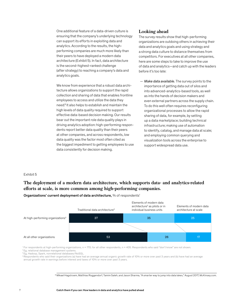One additional feature of a data-driven culture is ensuring that the company's underlying technology can support its efforts in exploiting data and analytics. According to the results, the highperforming companies are much more likely than their peers to have deployed a modern data architecture (Exhibit 5). In fact, data architecture is the second-highest-ranked challenge (after strategy) to reaching a company's data and analytics goals.

We know from experience that a robust data architecture allows organizations to support the rapid collection and sharing of data that enables frontline employees to access and utilize the data they need.8 It also helps to establish and maintain the high levels of data quality required to support effective data-based decision making. Our results bear out the important role data quality plays in driving analytics adoption: high-performing respondents report better data quality than their peers at other companies, and across respondents, low data quality was the factor most often cited as the biggest impediment to getting employees to use data consistently for decision making.

## **Looking ahead**

The survey results show that high-performing organizations are outdoing others in achieving their data and analytics goals and using strategy and a strong data culture to distance themselves from competitors. For executives at all other companies, here are some steps to take to improve the use of data and analytics—and catch up with the leaders before it's too late:

— *Make data available.* The survey points to the importance of getting data out of silos and into advanced-analytics-based tools, as well as into the hands of decision makers and even external partners across the supply chain. To do this well often requires reconfiguring organizational processes to allow the rapid sharing of data, for example, by setting up a data marketplace; building technical infrastructure; making use of automation to identify, catalog, and manage data at scale; and employing common querying and visualization tools across the enterprise to support widespread data use.

#### Exhibit 5

## **The deployment of a modern data architecture, which supports data- and analytics-related**  efforts at scale, is more common among high-performing companies.



Organizations' current deployment of data architecture, % of respondents<sup>1</sup>

<sup>1</sup> For respondents at high-performing organizations, n = 170; for all other respondents, n = 405. Respondents who said "don't know" are not shown.<br><sup>2</sup> Eg, relational database management systems.

3 Eg, Hadoop, Spark, nonrelational databases/NoSQL.

 4 Respondents who said their organizations (a) have had an average annual organic growth rate of 10% or more over past 3 years and (b) have had an average annual growth rate in earnings before interest and taxes of 10% or more over past 3 years.

<sup>8</sup> Mikael Hagstroem, Matthias Roggendorf, Tamim Saleh, and Jason Sharma, "A smarter way to jump into data lakes," August 2017, McKinsey.com.